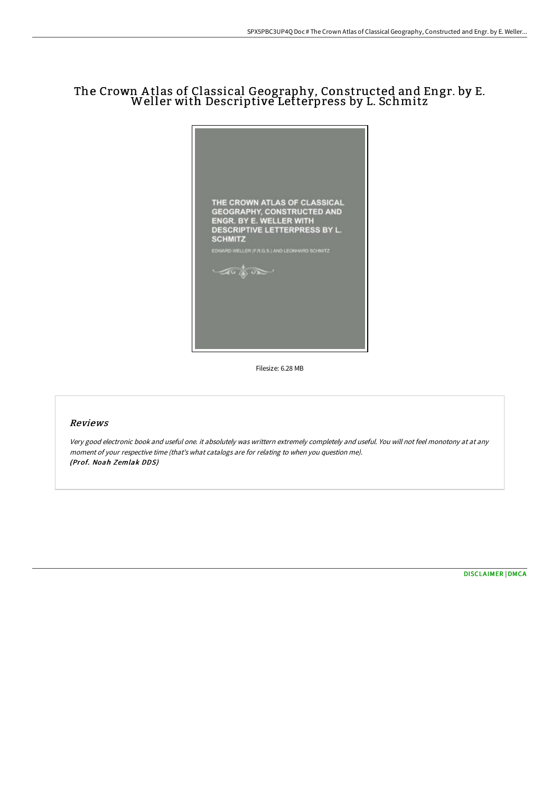# The Crown <sup>A</sup> tlas of Classical Geography, Constructed and Engr. by E. Weller with Descriptive Letterpress by L. Schmitz



Filesize: 6.28 MB

## Reviews

Very good electronic book and useful one. it absolutely was writtern extremely completely and useful. You will not feel monotony at at any moment of your respective time (that's what catalogs are for relating to when you question me). (Prof. Noah Zemlak DDS)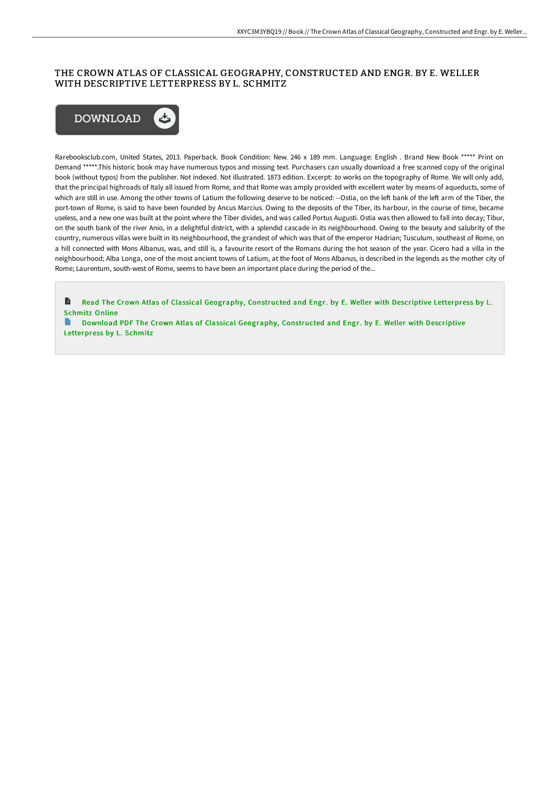## THE CROWN ATLAS OF CLASSICAL GEOGRAPHY, CONSTRUCTED AND ENGR. BY E. WELLER WITH DESCRIPTIVE LETTERPRESS BY L. SCHMITZ



Rarebooksclub.com, United States, 2013. Paperback. Book Condition: New. 246 x 189 mm. Language: English . Brand New Book \*\*\*\*\* Print on Demand \*\*\*\*\*.This historic book may have numerous typos and missing text. Purchasers can usually download a free scanned copy of the original book (without typos) from the publisher. Not indexed. Not illustrated. 1873 edition. Excerpt: .to works on the topography of Rome. We will only add, that the principal highroads of Italy all issued from Rome, and that Rome was amply provided with excellent water by means of aqueducts, some of which are still in use. Among the other towns of Latium the following deserve to be noticed: --Ostia, on the left bank of the left arm of the Tiber, the port-town of Rome, is said to have been founded by Ancus Marcius. Owing to the deposits of the Tiber, its harbour, in the course of time, became useless, and a new one was built at the point where the Tiber divides, and was called Portus Augusti. Ostia was then allowed to fall into decay; Tibur, on the south bank of the river Anio, in a delightful district, with a splendid cascade in its neighbourhood. Owing to the beauty and salubrity of the country, numerous villas were built in its neighbourhood, the grandest of which was that of the emperor Hadrian; Tusculum, southeast of Rome, on a hill connected with Mons Albanus, was, and still is, a favourite resort of the Romans during the hot season of the year. Cicero had a villa in the neighbourhood; Alba Longa, one of the most ancient towns of Latium, at the foot of Mons Albanus, is described in the legends as the mother city of Rome; Laurentum, south-west of Rome, seems to have been an important place during the period of the...

B Read The Crown Atlas of Classical Geography, [Constructed](http://bookera.tech/the-crown-atlas-of-classical-geography-construct.html) and Engr. by E. Weller with Descriptive Letterpress by L. Schmitz Online

Download PDF The Crown Atlas of Classical Geography, [Constructed](http://bookera.tech/the-crown-atlas-of-classical-geography-construct.html) and Engr. by E. Weller with Descriptive Letterpress by L. Schmitz